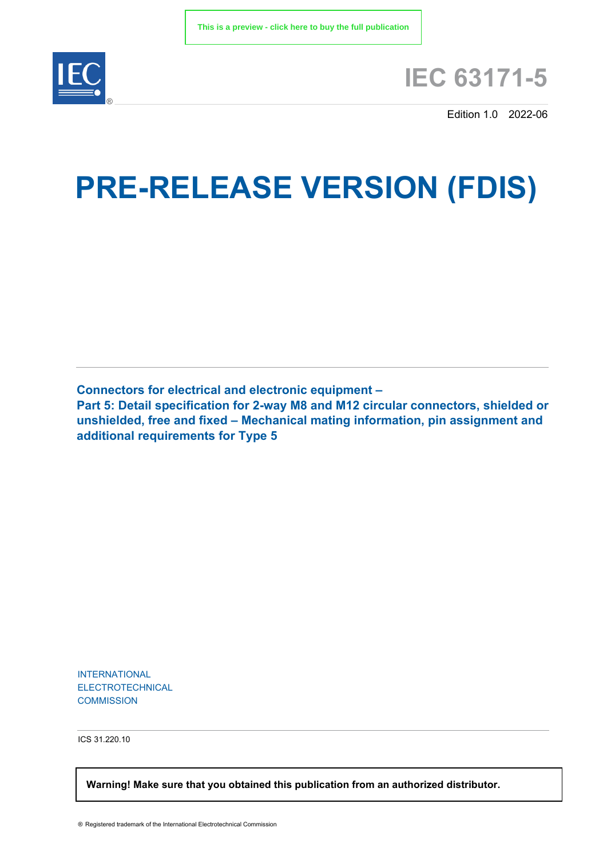

# **IEC 63171-5**

Edition 1.0 2022-06

# **PRE-RELEASE VERSION (FDIS)**

**Connectors for electrical and electronic equipment –**

**Part 5: Detail specification for 2-way M8 and M12 circular connectors, shielded or unshielded, free and fixed – Mechanical mating information, pin assignment and additional requirements for Type 5**

INTERNATIONAL ELECTROTECHNICAL **COMMISSION** 

ICS 31.220.10

 **Warning! Make sure that you obtained this publication from an authorized distributor.**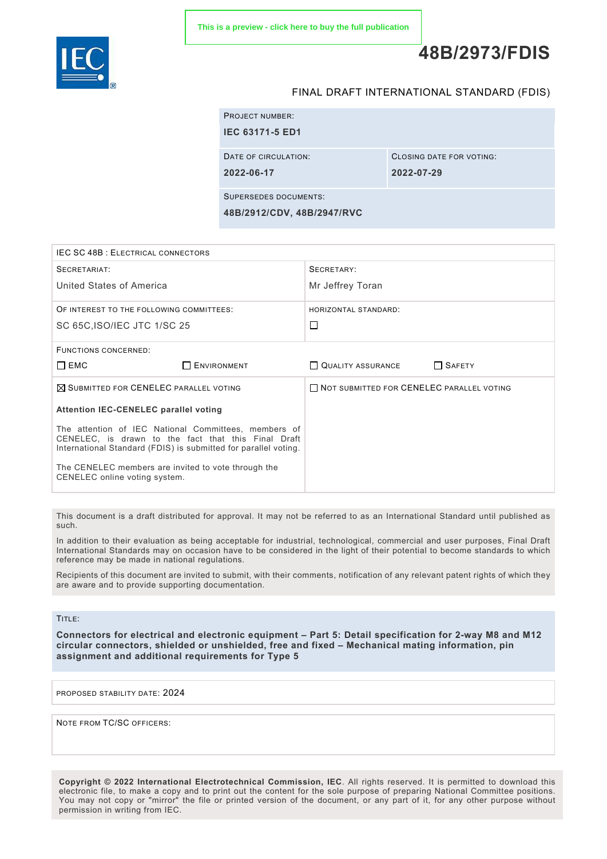

## **48B/2973/FDIS**

#### FINAL DRAFT INTERNATIONAL STANDARD (FDIS)

|                       | <b>PROJECT NUMBER:</b> |                          |
|-----------------------|------------------------|--------------------------|
|                       | <b>IEC 63171-5 ED1</b> |                          |
|                       | DATE OF CIRCULATION:   | CLOSING DATE FOR VOTING: |
|                       | 2022-06-17             | 2022-07-29               |
| SUPERSEDES DOCUMENTS: |                        |                          |

**48B/2912/CDV, 48B/2947/RVC**

| <b>IEC SC 48B: ELECTRICAL CONNECTORS</b>                                                                                                                                                                                                                               |                                           |  |
|------------------------------------------------------------------------------------------------------------------------------------------------------------------------------------------------------------------------------------------------------------------------|-------------------------------------------|--|
| SECRETARIAT:                                                                                                                                                                                                                                                           | SECRETARY:                                |  |
| United States of America                                                                                                                                                                                                                                               | Mr Jeffrey Toran                          |  |
| OF INTEREST TO THE FOLLOWING COMMITTEES:                                                                                                                                                                                                                               | HORIZONTAL STANDARD:                      |  |
| SC 65C, ISO/IEC JTC 1/SC 25                                                                                                                                                                                                                                            | $\Box$                                    |  |
| FUNCTIONS CONCERNED:                                                                                                                                                                                                                                                   |                                           |  |
| $\square$ EMC<br><b>ENVIRONMENT</b>                                                                                                                                                                                                                                    | SAFETY<br>QUALITY ASSURANCE               |  |
| $\boxtimes$ SUBMITTED FOR CENELEC PARALLEL VOTING                                                                                                                                                                                                                      | NOT SUBMITTED FOR CENELEC PARALLEL VOTING |  |
| <b>Attention IEC-CENELEC parallel voting</b>                                                                                                                                                                                                                           |                                           |  |
| The attention of IEC National Committees, members of<br>CENELEC, is drawn to the fact that this Final Draft<br>International Standard (FDIS) is submitted for parallel voting.<br>The CENELEC members are invited to vote through the<br>CENELEC online voting system. |                                           |  |

This document is a draft distributed for approval. It may not be referred to as an International Standard until published as such.

In addition to their evaluation as being acceptable for industrial, technological, commercial and user purposes, Final Draft International Standards may on occasion have to be considered in the light of their potential to become standards to which reference may be made in national regulations.

Recipients of this document are invited to submit, with their comments, notification of any relevant patent rights of which they are aware and to provide supporting documentation.

TITLE:

**Connectors for electrical and electronic equipment – Part 5: Detail specification for 2-way M8 and M12 circular connectors, shielded or unshielded, free and fixed – Mechanical mating information, pin assignment and additional requirements for Type 5**

PROPOSED STABILITY DATE: 2024

NOTE FROM TC/SC OFFICERS:

**Copyright © 2022 International Electrotechnical Commission, IEC**. All rights reserved. It is permitted to download this electronic file, to make a copy and to print out the content for the sole purpose of preparing National Committee positions. You may not copy or "mirror" the file or printed version of the document, or any part of it, for any other purpose without permission in writing from IEC.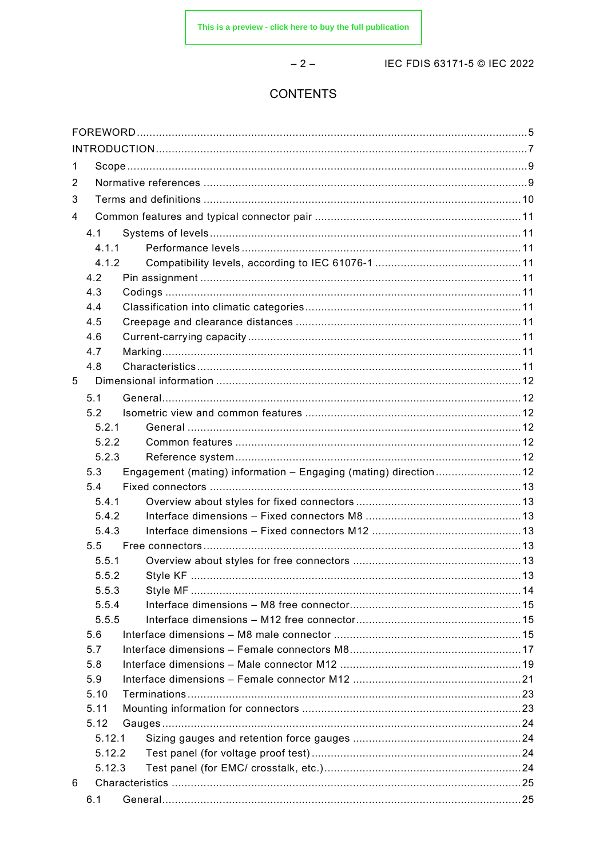$-2-$ 

IEC FDIS 63171-5 © IEC 2022

### **CONTENTS**

| 1 |                |                                                                  |  |
|---|----------------|------------------------------------------------------------------|--|
| 2 |                |                                                                  |  |
| 3 |                |                                                                  |  |
| 4 |                |                                                                  |  |
|   | 4.1            |                                                                  |  |
|   | 4.1.1          |                                                                  |  |
|   | 4.1.2          |                                                                  |  |
|   | 4.2            |                                                                  |  |
|   | 4.3            |                                                                  |  |
|   | 4.4            |                                                                  |  |
|   | 4.5            |                                                                  |  |
|   | 4.6            |                                                                  |  |
|   | 4.7            |                                                                  |  |
|   | 4.8            |                                                                  |  |
| 5 |                |                                                                  |  |
|   | 5.1            |                                                                  |  |
|   | 5.2            |                                                                  |  |
|   | 5.2.1          |                                                                  |  |
|   | 5.2.2          |                                                                  |  |
|   | 5.2.3          |                                                                  |  |
|   | 5.3            | Engagement (mating) information - Engaging (mating) direction 12 |  |
|   | 5.4            |                                                                  |  |
|   | 5.4.1          |                                                                  |  |
|   | 5.4.2<br>5.4.3 |                                                                  |  |
|   | 5.5            |                                                                  |  |
|   | 5.5.1          |                                                                  |  |
|   | 5.5.2          |                                                                  |  |
|   | 5.5.3          |                                                                  |  |
|   | 5.5.4          |                                                                  |  |
|   | 5.5.5          |                                                                  |  |
|   | 5.6            |                                                                  |  |
|   | 5.7            |                                                                  |  |
|   | 5.8            |                                                                  |  |
|   | 5.9            |                                                                  |  |
|   | 5.10           |                                                                  |  |
|   | 5.11           |                                                                  |  |
|   | 5.12           |                                                                  |  |
|   | 5.12.1         |                                                                  |  |
|   | 5.12.2         |                                                                  |  |
|   | 5.12.3         |                                                                  |  |
| 6 |                |                                                                  |  |
|   | 6.1            |                                                                  |  |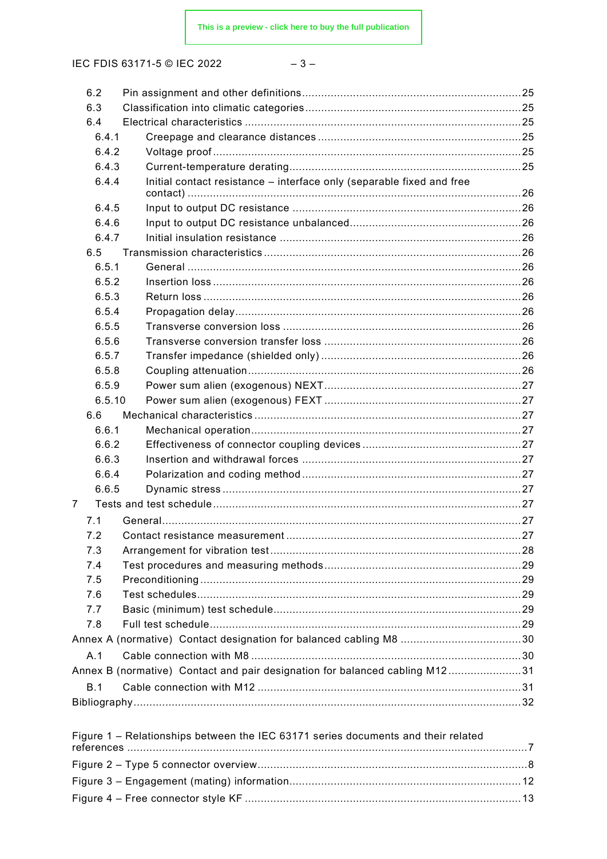IEC FDIS 63171-5 © IEC 2022

| 6.2    |                                                                                   |  |
|--------|-----------------------------------------------------------------------------------|--|
| 6.3    |                                                                                   |  |
| 6.4    |                                                                                   |  |
| 6.4.1  |                                                                                   |  |
| 6.4.2  |                                                                                   |  |
| 6.4.3  |                                                                                   |  |
| 6.4.4  | Initial contact resistance - interface only (separable fixed and free             |  |
| 6.4.5  |                                                                                   |  |
| 6.4.6  |                                                                                   |  |
| 6.4.7  |                                                                                   |  |
| 6.5    |                                                                                   |  |
| 6.5.1  |                                                                                   |  |
| 6.5.2  |                                                                                   |  |
| 6.5.3  |                                                                                   |  |
| 6.5.4  |                                                                                   |  |
| 6.5.5  |                                                                                   |  |
| 6.5.6  |                                                                                   |  |
| 6.5.7  |                                                                                   |  |
| 6.5.8  |                                                                                   |  |
| 6.5.9  |                                                                                   |  |
| 6.5.10 |                                                                                   |  |
| 6.6    |                                                                                   |  |
| 6.6.1  |                                                                                   |  |
| 6.6.2  |                                                                                   |  |
| 6.6.3  |                                                                                   |  |
| 6.6.4  |                                                                                   |  |
| 6.6.5  |                                                                                   |  |
| 7      |                                                                                   |  |
| 7.1    |                                                                                   |  |
| 7.2    |                                                                                   |  |
| 7.3    |                                                                                   |  |
| 7.4    |                                                                                   |  |
| 7.5    |                                                                                   |  |
| 7.6    |                                                                                   |  |
| 7.7    |                                                                                   |  |
| 7.8    |                                                                                   |  |
|        | Annex A (normative) Contact designation for balanced cabling M8 …………………………………30   |  |
| A.1    |                                                                                   |  |
|        | Annex B (normative) Contact and pair designation for balanced cabling M1231       |  |
| B.1    |                                                                                   |  |
|        |                                                                                   |  |
|        | Figure 1 – Relationships between the IEC 63171 series documents and their related |  |
|        |                                                                                   |  |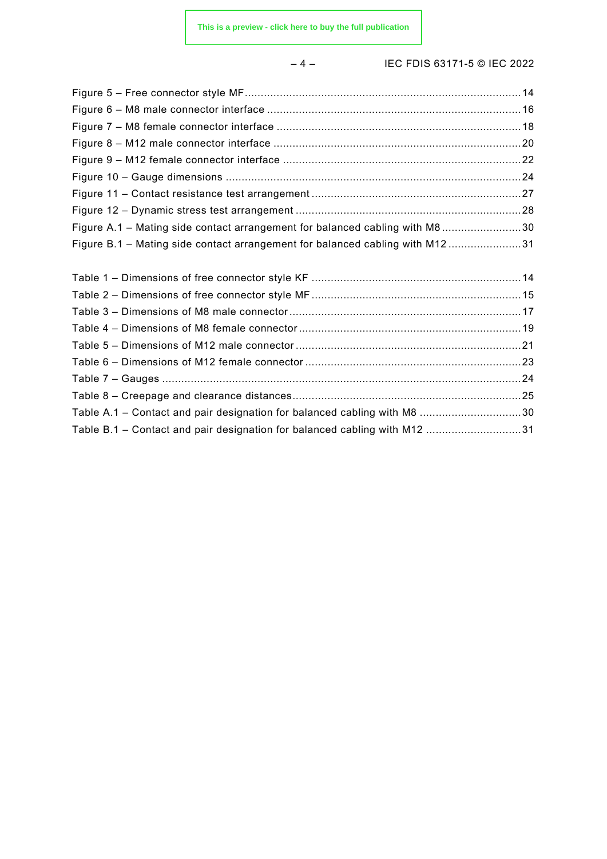#### – 4 – IEC FDIS 63171-5 © IEC 2022

| Figure A.1 – Mating side contact arrangement for balanced cabling with M830  |  |
|------------------------------------------------------------------------------|--|
| Figure B.1 - Mating side contact arrangement for balanced cabling with M1231 |  |
|                                                                              |  |
|                                                                              |  |
|                                                                              |  |
|                                                                              |  |
|                                                                              |  |
|                                                                              |  |
|                                                                              |  |
|                                                                              |  |

Table A.1 – Contact and pair designation for balanced cabling with M8 ................................30 Table B.1 – Contact and pair designation for balanced cabling with M12 ..............................31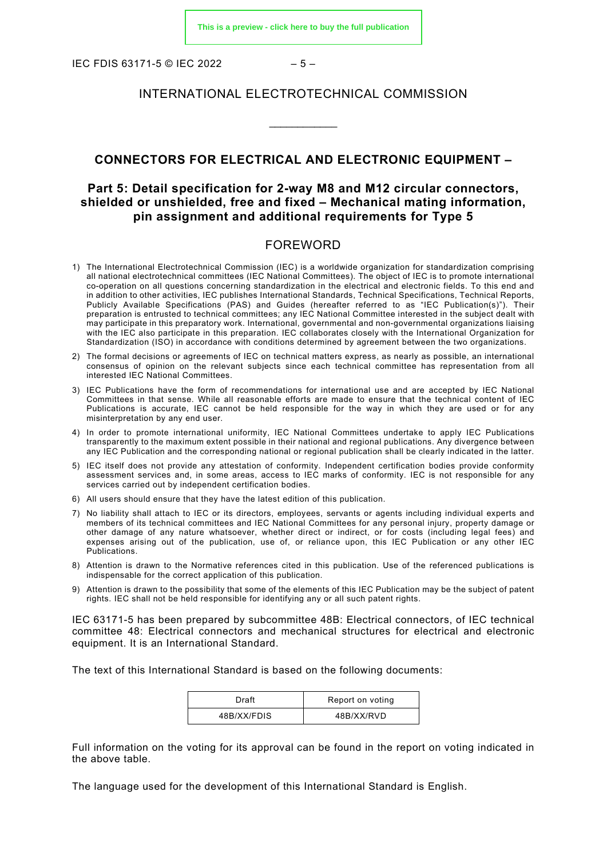IEC FDIS 63171-5 © IEC 2022  $-5-$ 

#### INTERNATIONAL ELECTROTECHNICAL COMMISSION

\_\_\_\_\_\_\_\_\_\_\_\_

#### **CONNECTORS FOR ELECTRICAL AND ELECTRONIC EQUIPMENT –**

#### **Part 5: Detail specification for 2-way M8 and M12 circular connectors, shielded or unshielded, free and fixed – Mechanical mating information, pin assignment and additional requirements for Type 5**

#### FOREWORD

- <span id="page-5-0"></span>1) The International Electrotechnical Commission (IEC) is a worldwide organization for standardization comprising all national electrotechnical committees (IEC National Committees). The object of IEC is to promote international co-operation on all questions concerning standardization in the electrical and electronic fields. To this end and in addition to other activities, IEC publishes International Standards, Technical Specifications, Technical Reports, Publicly Available Specifications (PAS) and Guides (hereafter referred to as "IEC Publication(s)"). Their preparation is entrusted to technical committees; any IEC National Committee interested in the subject dealt with may participate in this preparatory work. International, governmental and non-governmental organizations liaising with the IEC also participate in this preparation. IEC collaborates closely with the International Organization for Standardization (ISO) in accordance with conditions determined by agreement between the two organizations.
- 2) The formal decisions or agreements of IEC on technical matters express, as nearly as possible, an international consensus of opinion on the relevant subjects since each technical committee has representation from all interested IEC National Committees.
- 3) IEC Publications have the form of recommendations for international use and are accepted by IEC National Committees in that sense. While all reasonable efforts are made to ensure that the technical content of IEC Publications is accurate, IEC cannot be held responsible for the way in which they are used or for any misinterpretation by any end user.
- 4) In order to promote international uniformity, IEC National Committees undertake to apply IEC Publications transparently to the maximum extent possible in their national and regional publications. Any divergence between any IEC Publication and the corresponding national or regional publication shall be clearly indicated in the latter.
- 5) IEC itself does not provide any attestation of conformity. Independent certification bodies provide conformity assessment services and, in some areas, access to IEC marks of conformity. IEC is not responsible for any services carried out by independent certification bodies.
- 6) All users should ensure that they have the latest edition of this publication.
- 7) No liability shall attach to IEC or its directors, employees, servants or agents including individual experts and members of its technical committees and IEC National Committees for any personal injury, property damage or other damage of any nature whatsoever, whether direct or indirect, or for costs (including legal fees) and expenses arising out of the publication, use of, or reliance upon, this IEC Publication or any other IEC Publications.
- 8) Attention is drawn to the Normative references cited in this publication. Use of the referenced publications is indispensable for the correct application of this publication.
- 9) Attention is drawn to the possibility that some of the elements of this IEC Publication may be the subject of patent rights. IEC shall not be held responsible for identifying any or all such patent rights.

IEC 63171-5 has been prepared by subcommittee 48B: Electrical connectors, of IEC technical committee 48: Electrical connectors and mechanical structures for electrical and electronic equipment. It is an International Standard.

The text of this International Standard is based on the following documents:

| Draft       | Report on voting |
|-------------|------------------|
| 48B/XX/FDIS | 48B/XX/RVD       |

Full information on the voting for its approval can be found in the report on voting indicated in the above table.

The language used for the development of this International Standard is English.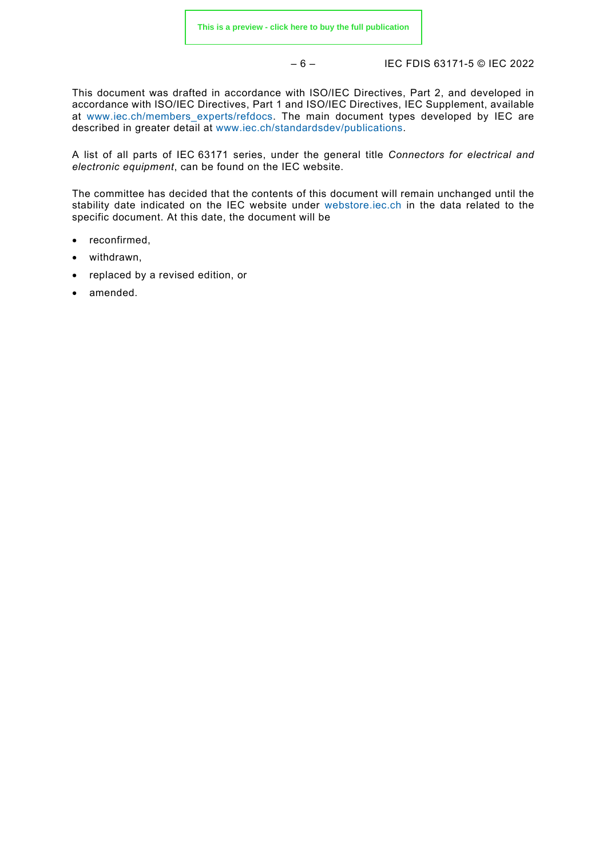– 6 – IEC FDIS 63171-5 © IEC 2022

This document was drafted in accordance with ISO/IEC Directives, Part 2, and developed in accordance with ISO/IEC Directives, Part 1 and ISO/IEC Directives, IEC Supplement, available at [www.iec.ch/members\\_experts/refdocs.](https://www.iec.ch/members_experts/refdocs) The main document types developed by IEC are described in greater detail at [www.iec.ch/standardsdev/publications.](https://www.iec.ch/standardsdev/publications)

A list of all parts of IEC 63171 series, under the general title *Connectors for electrical and electronic equipment*, can be found on the IEC website.

The committee has decided that the contents of this document will remain unchanged until the stability date indicated on the IEC website under [webstore.iec.ch](https://webstore.iec.ch/?ref=menu) in the data related to the specific document. At this date, the document will be

- reconfirmed,
- withdrawn,
- replaced by a revised edition, or
- amended.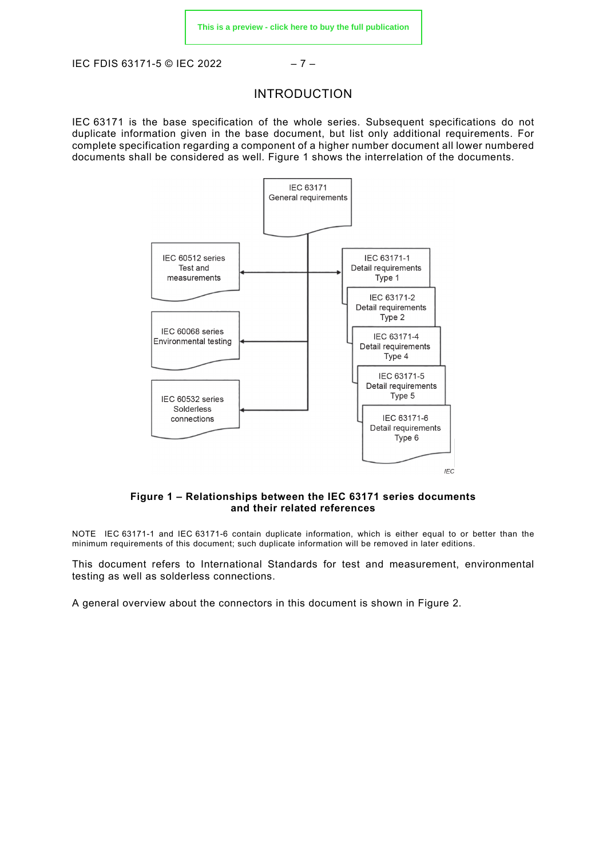<span id="page-7-0"></span>IEC FDIS 63171-5 © IEC 2022 – 7 –

#### INTRODUCTION

IEC 63171 is the base specification of the whole series. Subsequent specifications do not duplicate information given in the base document, but list only additional requirements. For complete specification regarding a component of a higher number document all lower numbered documents shall be considered as well. [Figure 1](#page-7-1) shows the interrelation of the documents.



#### **Figure 1 – Relationships between the IEC 63171 series documents and their related references**

<span id="page-7-1"></span>NOTE IEC 63171-1 and IEC 63171-6 contain duplicate information, which is either equal to or better than the minimum requirements of this document; such duplicate information will be removed in later editions.

This document refers to International Standards for test and measurement, environmental testing as well as solderless connections.

A general overview about the connectors in this document is shown in [Figure 2.](#page-8-0)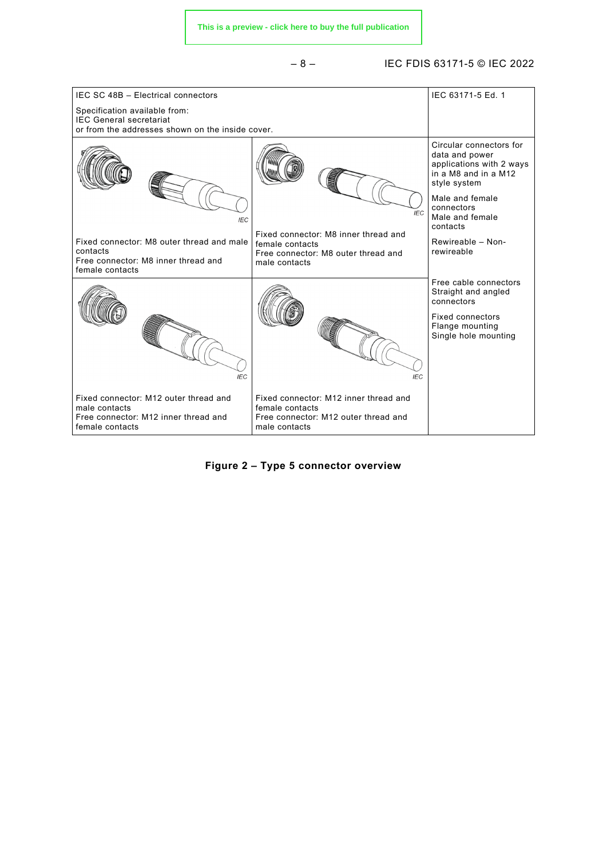#### – 8 – IEC FDIS 63171-5 © IEC 2022



<span id="page-8-0"></span>**Figure 2 – Type 5 connector overview**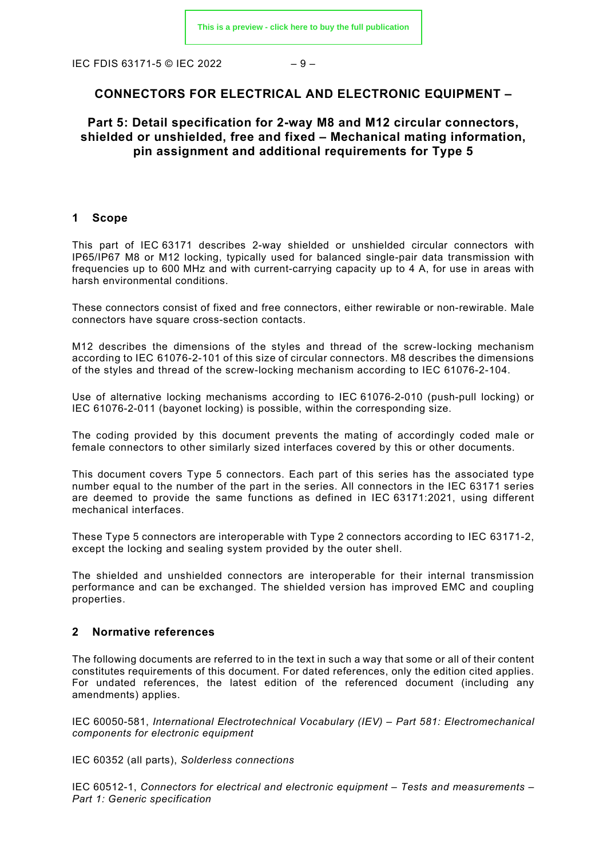IEC FDIS 63171-5 © IEC 2022  $-9-$ 

#### **CONNECTORS FOR ELECTRICAL AND ELECTRONIC EQUIPMENT –**

#### **Part 5: Detail specification for 2-way M8 and M12 circular connectors, shielded or unshielded, free and fixed – Mechanical mating information, pin assignment and additional requirements for Type 5**

#### <span id="page-9-0"></span>**1 Scope**

This part of IEC 63171 describes 2-way shielded or unshielded circular connectors with IP65/IP67 M8 or M12 locking, typically used for balanced single-pair data transmission with frequencies up to 600 MHz and with current-carrying capacity up to 4 A, for use in areas with harsh environmental conditions.

These connectors consist of fixed and free connectors, either rewirable or non-rewirable. Male connectors have square cross-section contacts.

M12 describes the dimensions of the styles and thread of the screw-locking mechanism according to IEC 61076-2-101 of this size of circular connectors. M8 describes the dimensions of the styles and thread of the screw-locking mechanism according to IEC 61076-2-104.

Use of alternative locking mechanisms according to IEC 61076-2-010 (push-pull locking) or IEC 61076-2-011 (bayonet locking) is possible, within the corresponding size.

The coding provided by this document prevents the mating of accordingly coded male or female connectors to other similarly sized interfaces covered by this or other documents.

This document covers Type 5 connectors. Each part of this series has the associated type number equal to the number of the part in the series. All connectors in the IEC 63171 series are deemed to provide the same functions as defined in IEC 63171:2021, using different mechanical interfaces.

These Type 5 connectors are interoperable with Type 2 connectors according to IEC 63171-2, except the locking and sealing system provided by the outer shell.

The shielded and unshielded connectors are interoperable for their internal transmission performance and can be exchanged. The shielded version has improved EMC and coupling properties.

#### <span id="page-9-1"></span>**2 Normative references**

The following documents are referred to in the text in such a way that some or all of their content constitutes requirements of this document. For dated references, only the edition cited applies. For undated references, the latest edition of the referenced document (including any amendments) applies.

IEC 60050-581, *International Electrotechnical Vocabulary (IEV) – Part 581: Electromechanical components for electronic equipment*

IEC 60352 (all parts), *Solderless connections*

IEC 60512-1, *Connectors for electrical and electronic equipment – Tests and measurements – Part 1: Generic specification*